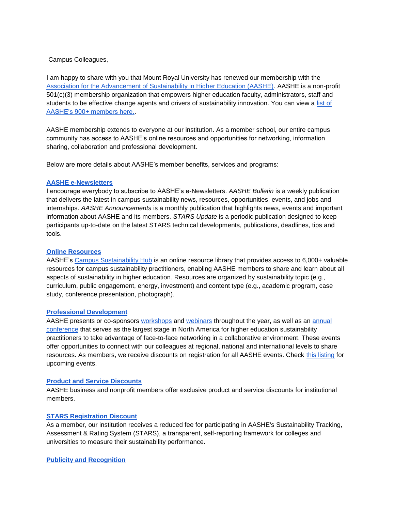## Campus Colleagues,

I am happy to share with you that Mount Royal University has renewed our membership with the [Association for the Advancement of Sustainability in Higher Education \(AASHE\).](http://www.aashe.org/) AASHE is a non-profit 501(c)(3) membership organization that empowers higher education faculty, administrators, staff and students to be effective change agents and drivers of sustainability innovation. You can view a list of [AASHE's 900+ members here..](http://www.aashe.org/membership/member-directory)

AASHE membership extends to everyone at our institution. As a member school, our entire campus community has access to AASHE's online resources and opportunities for networking, information sharing, collaboration and professional development.

Below are more details about AASHE's member benefits, services and programs:

## **[AASHE e-Newsletters](http://www.aashe.org/connect/enewsletters)**

I encourage everybody to subscribe to AASHE's e-Newsletters. *AASHE Bulletin* is a weekly publication that delivers the latest in campus sustainability news, resources, opportunities, events, and jobs and internships. *AASHE Announcements* is a monthly publication that highlights news, events and important information about AASHE and its members. *STARS Update* is a periodic publication designed to keep participants up-to-date on the latest STARS technical developments, publications, deadlines, tips and tools.

## **[Online Resources](https://hub.aashe.org/)**

AASHE's [Campus Sustainability Hub](https://hub.aashe.org/) is an online resource library that provides access to 6,000+ valuable resources for campus sustainability practitioners, enabling AASHE members to share and learn about all aspects of sustainability in higher education. Resources are organized by sustainability topic (e.g., curriculum, public engagement, energy, investment) and content type (e.g., academic program, case study, conference presentation, photograph).

#### **[Professional Development](http://www.aashe.org/events/professional-development)**

AASHE presents or co-sponsors [workshops](http://www.aashe.org/events/workshops) and [webinars](http://www.aashe.org/events/webinars) throughout the year, as well as a[n](http://conference.aashe.org/) [annual](http://conference.aashe.org/)  [conference](http://conference.aashe.org/) that serves as the largest stage in North America for higher education sustainability practitioners to take advantage of face-to-face networking in a collaborative environment. These events offer opportunities to connect with our colleagues at regional, national and international levels to share resources. As members, we receive discounts on registration for all AASHE events. Check [this listing](http://www.aashe.org/events) for upcoming events.

#### **[Product and Service Discounts](http://www.aashe.org/membership/discounts.php)**

AASHE business and nonprofit members offer exclusive product and service discounts for institutional members.

# **[STARS Registration Discount](http://stars.aashe.org/)**

As a member, our institution receives a reduced fee for participating in AASHE's Sustainability Tracking, Assessment & Rating System (STARS), a transparent, self-reporting framework for colleges and universities to measure their sustainability performance.

# **[Publicity and Recognition](http://bulletin.aashe.org/)**